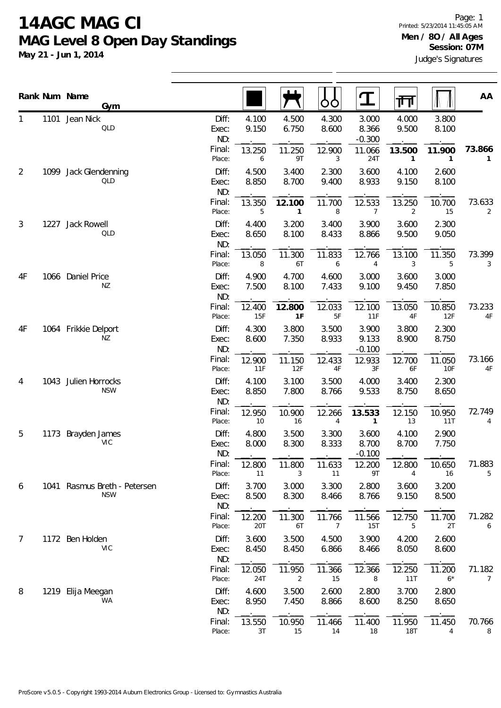**May 21 - Jun 1, 2014**

|                | Rank Num Name<br>Gym                       |                       |                |                          | OO             | $\mathbf T$                | 帀                        |                        | AA                       |
|----------------|--------------------------------------------|-----------------------|----------------|--------------------------|----------------|----------------------------|--------------------------|------------------------|--------------------------|
| 1              | 1101 Jean Nick<br>QLD                      | Diff:<br>Exec:<br>ND: | 4.100<br>9.150 | 4.500<br>6.750           | 4.300<br>8.600 | 3.000<br>8.366<br>$-0.300$ | 4.000<br>9.500           | 3.800<br>8.100         |                          |
|                |                                            | Final:<br>Place:      | 13.250<br>6    | 11.250<br>9T             | 12.900<br>3    | 11.066<br>24T              | 13.500<br>$\mathbf{1}$   | 11.900<br>$\mathbf{1}$ | 73.866<br>$\mathbf{1}$   |
| $\overline{2}$ | 1099 Jack Glendenning<br>QLD               | Diff:<br>Exec:<br>ND: | 4.500<br>8.850 | 3.400<br>8.700           | 2.300<br>9.400 | 3.600<br>8.933             | 4.100<br>9.150           | 2.600<br>8.100         |                          |
|                |                                            | Final:<br>Place:      | 13.350<br>5    | 12.100<br>$\mathbf{1}$   | 11.700<br>8    | 12.533<br>$\overline{7}$   | 13.250<br>$\overline{2}$ | 10.700<br>15           | 73.633<br>$\overline{2}$ |
| 3              | 1227 Jack Rowell<br>QLD                    | Diff:<br>Exec:<br>ND: | 4.400<br>8.650 | 3.200<br>8.100           | 3.400<br>8.433 | 3.900<br>8.866             | 3.600<br>9.500           | 2.300<br>9.050         |                          |
|                |                                            | Final:<br>Place:      | 13.050<br>8    | 11.300<br>6T             | 11.833<br>6    | 12.766<br>4                | 13.100<br>3              | 11.350<br>5            | 73.399<br>3              |
| 4F             | 1066 Daniel Price<br>NZ                    | Diff:<br>Exec:<br>ND: | 4.900<br>7.500 | 4.700<br>8.100           | 4.600<br>7.433 | 3.000<br>9.100             | 3.600<br>9.450           | 3.000<br>7.850         |                          |
|                |                                            | Final:<br>Place:      | 12.400<br>15F  | 12.800<br>1F             | 12.033<br>5F   | 12.100<br>11F              | 13.050<br>4F             | 10.850<br>12F          | 73.233<br>4F             |
| 4F             | 1064 Frikkie Delport<br>ΝZ                 | Diff:<br>Exec:<br>ND: | 4.300<br>8.600 | 3.800<br>7.350           | 3.500<br>8.933 | 3.900<br>9.133<br>$-0.100$ | 3.800<br>8.900           | 2.300<br>8.750         |                          |
|                |                                            | Final:<br>Place:      | 12.900<br>11F  | 11.150<br>12F            | 12.433<br>4F   | 12.933<br>3F               | 12.700<br>6F             | 11.050<br>10F          | 73.166<br>$4\mathsf{F}$  |
| 4              | 1043 Julien Horrocks<br><b>NSW</b>         | Diff:<br>Exec:<br>ND: | 4.100<br>8.850 | 3.100<br>7.800           | 3.500<br>8.766 | 4.000<br>9.533             | 3.400<br>8.750           | 2.300<br>8.650         |                          |
|                |                                            | Final:<br>Place:      | 12.950<br>$10$ | 10.900<br>16             | 12.266<br>4    | 13.533<br>$\mathbf{1}$     | 12.150<br>13             | 10.950<br>11T          | 72.749<br>4              |
| 5              | 1173 Brayden James<br><b>VIC</b>           | Diff:<br>Exec:<br>ND: | 4.800<br>8.000 | 3.500<br>8.300           | 3.300<br>8.333 | 3.600<br>8.700<br>$-0.100$ | 4.100<br>8.700           | 2.900<br>7.750         |                          |
|                |                                            | Final:<br>Place:      | 12.800<br>11   | 11.800<br>3              | 11.633<br>11   | 12.200<br>9Τ               | 12.800<br>$\overline{4}$ | 10.650<br>16           | 71.883<br>5              |
| 6              | 1041 Rasmus Breth - Petersen<br><b>NSW</b> | Diff:<br>Exec:<br>ND: | 3.700<br>8.500 | 3.000<br>8.300           | 3.300<br>8.466 | 2.800<br>8.766             | 3.600<br>9.150           | 3.200<br>8.500         |                          |
|                |                                            | Final:<br>Place:      | 12.200<br>20T  | 11.300<br>6T             | 11.766<br>7    | 11.566<br>15T              | 12.750<br>5              | 11.700<br>2T           | 71.282<br>6              |
| 7              | 1172 Ben Holden<br><b>VIC</b>              | Diff:<br>Exec:<br>ND: | 3.600<br>8.450 | 3.500<br>8.450           | 4.500<br>6.866 | 3.900<br>8.466             | 4.200<br>8.050           | 2.600<br>8.600         |                          |
|                |                                            | Final:<br>Place:      | 12.050<br>24T  | 11.950<br>$\overline{2}$ | 11.366<br>15   | 12.366<br>8                | 12.250<br>11T            | 11.200<br>$6*$         | 71.182<br>7              |
| 8              | 1219 Elija Meegan<br>WA                    | Diff:<br>Exec:<br>ND: | 4.600<br>8.950 | 3.500<br>7.450           | 2.600<br>8.866 | 2.800<br>8.600             | 3.700<br>8.250           | 2.800<br>8.650         |                          |
|                |                                            | Final:<br>Place:      | 13.550<br>3T   | 10.950<br>15             | 11.466<br>14   | 11.400<br>18               | 11.950<br>18T            | 11.450<br>4            | 70.766<br>8              |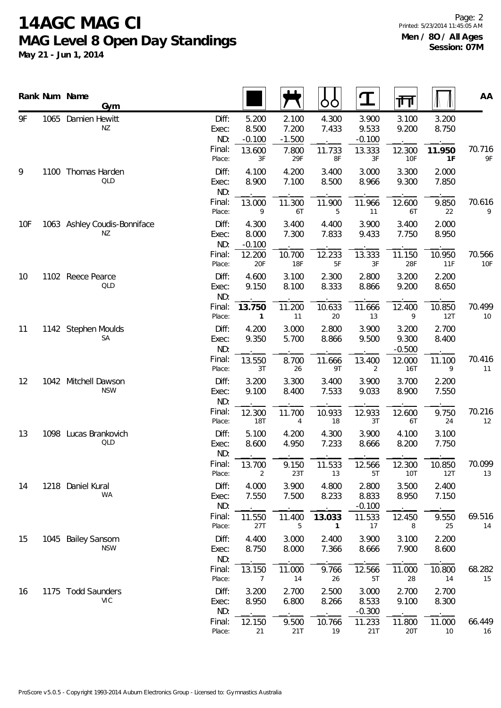**May 21 - Jun 1, 2014**

Page: 2 Printed: 5/23/2014 11:45:05 AM **Men / 8O / All Ages Session: 07M**

|                 | Rank Num Name<br>Gym               |                                  |                                      |                                     | OO                              | $\mathbf T$                          | गा                                   |                          | AA           |
|-----------------|------------------------------------|----------------------------------|--------------------------------------|-------------------------------------|---------------------------------|--------------------------------------|--------------------------------------|--------------------------|--------------|
| 9F              | 1065 Damien Hewitt<br>NZ           | Diff:<br>Exec:<br>ND:<br>Final:  | 5.200<br>8.500<br>$-0.100$<br>13.600 | 2.100<br>7.200<br>$-1.500$<br>7.800 | 4.300<br>7.433<br>11.733        | 3.900<br>9.533<br>$-0.100$<br>13.333 | 3.100<br>9.200<br>12.300             | 3.200<br>8.750<br>11.950 | 70.716       |
| 9               | 1100 Thomas Harden<br>QLD          | Place:<br>Diff:<br>Exec:         | 3F<br>4.100<br>8.900                 | 29F<br>4.200<br>7.100               | 8F<br>3.400<br>8.500            | 3F<br>3.000<br>8.966                 | <b>10F</b><br>3.300<br>9.300         | 1F<br>2.000<br>7.850     | 9F           |
|                 |                                    | ND:<br>Final:<br>Place:          | 13.000<br>9                          | 11.300<br>6T                        | 11.900<br>5                     | 11.966<br>11                         | 12.600<br>6T                         | 9.850<br>22              | 70.616<br>9  |
| 10 <sub>F</sub> | 1063 Ashley Coudis-Bonniface<br>NZ | Diff:<br>Exec:<br>ND:<br>Final:  | 4.300<br>8.000<br>$-0.100$<br>12.200 | 3.400<br>7.300<br>10.700            | 4.400<br>7.833<br>12.233        | 3.900<br>9.433<br>13.333             | 3.400<br>7.750<br>11.150             | 2.000<br>8.950<br>10.950 | 70.566       |
| 10              | 1102 Reece Pearce<br>QLD           | Place:<br>Diff:<br>Exec:         | 20F<br>4.600<br>9.150                | <b>18F</b><br>3.100<br>8.100        | $5F$<br>2.300<br>8.333          | $3F$<br>2.800<br>8.866               | 28F<br>3.200<br>9.200                | 11F<br>2.200<br>8.650    | 10F          |
|                 |                                    | ND:<br>Final:<br>Place:          | 13.750<br>1                          | 11.200<br>11                        | 10.633<br>20                    | 11.666<br>13                         | 12.400<br>9                          | 10.850<br>12T            | 70.499<br>10 |
| 11              | 1142 Stephen Moulds<br>SA          | Diff:<br>Exec:<br>ND:<br>Final:  | 4.200<br>9.350<br>13.550             | 3.000<br>5.700<br>8.700             | 2.800<br>8.866<br>11.666        | 3.900<br>9.500<br>13.400             | 3.200<br>9.300<br>$-0.500$<br>12.000 | 2.700<br>8.400<br>11.100 | 70.416       |
| 12              | 1042 Mitchell Dawson<br><b>NSW</b> | Place:<br>Diff:<br>Exec:         | 3T<br>3.200<br>9.100                 | 26<br>3.300<br>8.400                | 9T<br>3.400<br>7.533            | 2<br>3.900<br>9.033                  | 16T<br>3.700<br>8.900                | 9<br>2.200<br>7.550      | 11           |
|                 |                                    | ND:<br>Final:<br>Place:          | 12.300<br>18T                        | 11.700<br>$\overline{4}$            | 10.933<br>18                    | 12.933<br>3T                         | 12.600<br>6T                         | 9.750<br>24              | 70.216<br>12 |
| 13              | 1098 Lucas Brankovich<br>QLD       | Diff:<br>Exec:<br>ND:            | 5.100<br>8.600                       | 4.200<br>4.950                      | 4.300<br>7.233                  | 3.900<br>8.666                       | 4.100<br>8.200                       | 3.100<br>7.750           |              |
| 14              | 1218 Daniel Kural                  | Final:<br>Place:<br>Diff:        | 13.700<br>2<br>4.000                 | 9.150<br>23T<br>3.900               | 11.533<br>13<br>4.800           | 12.566<br>5T<br>2.800                | 12.300<br><b>10T</b><br>3.500        | 10.850<br>12T<br>2.400   | 70.099<br>13 |
|                 | <b>WA</b>                          | Exec:<br>ND:<br>Final:           | 7.550                                | 7.500                               | 8.233                           | 8.833<br>$-0.100$                    | 8.950                                | 7.150                    | 69.516       |
| 15              | 1045 Bailey Sansom                 | Place:<br>Diff:                  | 11.550<br>27T<br>4.400               | 11.400<br>5<br>3.000                | 13.033<br>$\mathbf{1}$<br>2.400 | 11.533<br>17<br>3.900                | 12.450<br>8<br>3.100                 | 9.550<br>25<br>2.200     | 14           |
|                 | <b>NSW</b>                         | Exec:<br>ND:<br>Final:<br>Place: | 8.750<br>13.150<br>7                 | 8.000<br>11.000<br>14               | 7.366<br>9.766<br>26            | 8.666<br>12.566<br>5T                | 7.900<br>11.000<br>28                | 8.600<br>10.800<br>14    | 68.282<br>15 |
| 16              | 1175 Todd Saunders<br><b>VIC</b>   | Diff:<br>Exec:<br>ND:            | 3.200<br>8.950                       | 2.700<br>6.800                      | 2.500<br>8.266                  | 3.000<br>8.533<br>$-0.300$           | 2.700<br>9.100                       | 2.700<br>8.300           |              |
|                 |                                    | Final:<br>Place:                 | 12.150<br>21                         | 9.500<br>21T                        | 10.766<br>19                    | 11.233<br>21T                        | 11.800<br>20T                        | 11.000<br>10             | 66.449<br>16 |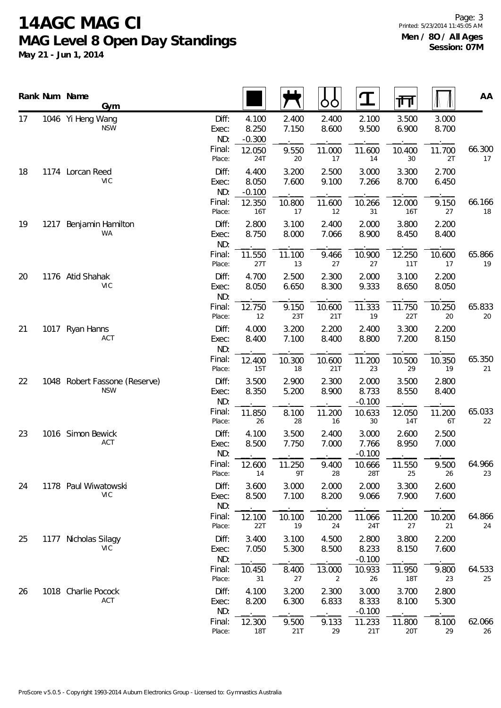**May 21 - Jun 1, 2014**

Page: 3 Printed: 5/23/2014 11:45:05 AM **Men / 8O / All Ages Session: 07M**

|    |      | Rank Num Name<br>Gym                        |                       |                            |                | OO             |                            | गि                   |                | AA           |
|----|------|---------------------------------------------|-----------------------|----------------------------|----------------|----------------|----------------------------|----------------------|----------------|--------------|
| 17 |      | 1046 Yi Heng Wang<br><b>NSW</b>             | Diff:<br>Exec:<br>ND: | 4.100<br>8.250<br>$-0.300$ | 2.400<br>7.150 | 2.400<br>8.600 | 2.100<br>9.500             | 3.500<br>6.900       | 3.000<br>8.700 |              |
|    |      |                                             | Final:<br>Place:      | 12.050<br>24T              | 9.550<br>20    | 11.000<br>17   | 11.600<br>14               | 10.400<br>30         | 11.700<br>2T   | 66.300<br>17 |
| 18 |      | 1174 Lorcan Reed<br><b>VIC</b>              | Diff:<br>Exec:<br>ND: | 4.400<br>8.050<br>$-0.100$ | 3.200<br>7.600 | 2.500<br>9.100 | 3.000<br>7.266             | 3.300<br>8.700       | 2.700<br>6.450 |              |
|    |      |                                             | Final:<br>Place:      | 12.350<br>16T              | 10.800<br>17   | 11.600<br>12   | 10.266<br>31               | 12.000<br>16T        | 9.150<br>27    | 66.166<br>18 |
| 19 | 1217 | Benjamin Hamilton<br><b>WA</b>              | Diff:<br>Exec:<br>ND: | 2.800<br>8.750             | 3.100<br>8.000 | 2.400<br>7.066 | 2.000<br>8.900             | 3.800<br>8.450       | 2.200<br>8.400 |              |
|    |      |                                             | Final:<br>Place:      | 11.550<br>27T              | 11.100<br>$13$ | 9.466<br>27    | 10.900<br>27               | 12.250<br>11T        | 10.600<br>17   | 65.866<br>19 |
| 20 |      | 1176 Atid Shahak<br><b>VIC</b>              | Diff:<br>Exec:<br>ND: | 4.700<br>8.050             | 2.500<br>6.650 | 2.300<br>8.300 | 2.000<br>9.333             | 3.100<br>8.650       | 2.200<br>8.050 |              |
|    |      |                                             | Final:<br>Place:      | 12.750<br>12               | 9.150<br>23T   | 10.600<br>21T  | 11.333<br>19               | 11.750<br>22T        | 10.250<br>20   | 65.833<br>20 |
| 21 |      | 1017 Ryan Hanns<br>ACT                      | Diff:<br>Exec:<br>ND: | 4.000<br>8.400             | 3.200<br>7.100 | 2.200<br>8.400 | 2.400<br>8.800             | 3.300<br>7.200       | 2.200<br>8.150 |              |
|    |      |                                             | Final:<br>Place:      | 12.400<br>15T              | 10.300<br>18   | 10.600<br>21T  | 11.200<br>23               | 10.500<br>29         | 10.350<br>19   | 65.350<br>21 |
| 22 |      | 1048 Robert Fassone (Reserve)<br><b>NSW</b> | Diff:<br>Exec:<br>ND: | 3.500<br>8.350             | 2.900<br>5.200 | 2.300<br>8.900 | 2.000<br>8.733<br>$-0.100$ | 3.500<br>8.550       | 2.800<br>8.400 |              |
|    |      |                                             | Final:<br>Place:      | 11.850<br>26               | 8.100<br>28    | 11.200<br>16   | 10.633<br>30               | 12.050<br><b>14T</b> | 11.200<br>6T   | 65.033<br>22 |
| 23 |      | 1016 Simon Bewick<br>ACT                    | Diff:<br>Exec:<br>ND: | 4.100<br>8.500             | 3.500<br>7.750 | 2.400<br>7.000 | 3.000<br>7.766<br>$-0.100$ | 2.600<br>8.950       | 2.500<br>7.000 |              |
|    |      |                                             | Final:<br>Place:      | 12.600<br>14               | 11.250<br>9T   | 9.400<br>28    | 10.666<br>28T              | 11.550<br>25         | 9.500<br>26    | 64.966<br>23 |
| 24 |      | 1178 Paul Wiwatowski<br><b>VIC</b>          | Diff:<br>Exec:<br>ND: | 3.600<br>8.500             | 3.000<br>7.100 | 2.000<br>8.200 | 2.000<br>9.066             | 3.300<br>7.900       | 2.600<br>7.600 |              |
|    |      |                                             | Final:<br>Place:      | 12.100<br>22T              | 10.100<br>19   | 10.200<br>24   | 11.066<br>24T              | 11.200<br>27         | 10.200<br>21   | 64.866<br>24 |
| 25 |      | 1177 Nicholas Silagy<br><b>VIC</b>          | Diff:<br>Exec:<br>ND: | 3.400<br>7.050             | 3.100<br>5.300 | 4.500<br>8.500 | 2.800<br>8.233<br>$-0.100$ | 3.800<br>8.150       | 2.200<br>7.600 |              |
|    |      |                                             | Final:<br>Place:      | 10.450<br>31               | 8.400<br>27    | 13.000<br>2    | 10.933<br>26               | 11.950<br>18T        | 9.800<br>23    | 64.533<br>25 |
| 26 |      | 1018 Charlie Pocock<br>ACT                  | Diff:<br>Exec:<br>ND: | 4.100<br>8.200             | 3.200<br>6.300 | 2.300<br>6.833 | 3.000<br>8.333<br>$-0.100$ | 3.700<br>8.100       | 2.800<br>5.300 |              |
|    |      |                                             | Final:<br>Place:      | 12.300<br><b>18T</b>       | 9.500<br>21T   | 9.133<br>29    | 11.233<br>21T              | 11.800<br>20T        | 8.100<br>29    | 62.066<br>26 |